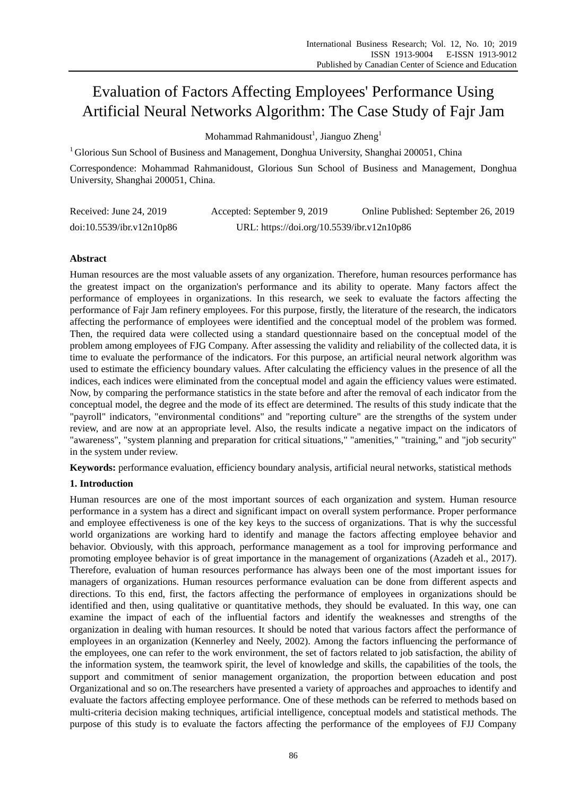# Evaluation of Factors Affecting Employees' Performance Using Artificial Neural Networks Algorithm: The Case Study of Fajr Jam

Mohammad Rahmanidoust $^1$ , Jianguo Zheng $^1$ 

<sup>1</sup>Glorious Sun School of Business and Management, Donghua University, Shanghai 200051, China

Correspondence: Mohammad Rahmanidoust, Glorious Sun School of Business and Management, Donghua University, Shanghai 200051, China.

| Received: June 24, 2019   | Accepted: September 9, 2019                | Online Published: September 26, 2019 |
|---------------------------|--------------------------------------------|--------------------------------------|
| doi:10.5539/ibr.v12n10p86 | URL: https://doi.org/10.5539/ibr.v12n10p86 |                                      |

## **Abstract**

Human resources are the most valuable assets of any organization. Therefore, human resources performance has the greatest impact on the organization's performance and its ability to operate. Many factors affect the performance of employees in organizations. In this research, we seek to evaluate the factors affecting the performance of Fajr Jam refinery employees. For this purpose, firstly, the literature of the research, the indicators affecting the performance of employees were identified and the conceptual model of the problem was formed. Then, the required data were collected using a standard questionnaire based on the conceptual model of the problem among employees of FJG Company. After assessing the validity and reliability of the collected data, it is time to evaluate the performance of the indicators. For this purpose, an artificial neural network algorithm was used to estimate the efficiency boundary values. After calculating the efficiency values in the presence of all the indices, each indices were eliminated from the conceptual model and again the efficiency values were estimated. Now, by comparing the performance statistics in the state before and after the removal of each indicator from the conceptual model, the degree and the mode of its effect are determined. The results of this study indicate that the "payroll" indicators, "environmental conditions" and "reporting culture" are the strengths of the system under review, and are now at an appropriate level. Also, the results indicate a negative impact on the indicators of "awareness", "system planning and preparation for critical situations," "amenities," "training," and "job security" in the system under review.

**Keywords:** performance evaluation, efficiency boundary analysis, artificial neural networks, statistical methods

## **1. Introduction**

Human resources are one of the most important sources of each organization and system. Human resource performance in a system has a direct and significant impact on overall system performance. Proper performance and employee effectiveness is one of the key keys to the success of organizations. That is why the successful world organizations are working hard to identify and manage the factors affecting employee behavior and behavior. Obviously, with this approach, performance management as a tool for improving performance and promoting employee behavior is of great importance in the management of organizations (Azadeh et al., 2017). Therefore, evaluation of human resources performance has always been one of the most important issues for managers of organizations. Human resources performance evaluation can be done from different aspects and directions. To this end, first, the factors affecting the performance of employees in organizations should be identified and then, using qualitative or quantitative methods, they should be evaluated. In this way, one can examine the impact of each of the influential factors and identify the weaknesses and strengths of the organization in dealing with human resources. It should be noted that various factors affect the performance of employees in an organization (Kennerley and Neely, 2002). Among the factors influencing the performance of the employees, one can refer to the work environment, the set of factors related to job satisfaction, the ability of the information system, the teamwork spirit, the level of knowledge and skills, the capabilities of the tools, the support and commitment of senior management organization, the proportion between education and post Organizational and so on.The researchers have presented a variety of approaches and approaches to identify and evaluate the factors affecting employee performance. One of these methods can be referred to methods based on multi-criteria decision making techniques, artificial intelligence, conceptual models and statistical methods. The purpose of this study is to evaluate the factors affecting the performance of the employees of FJJ Company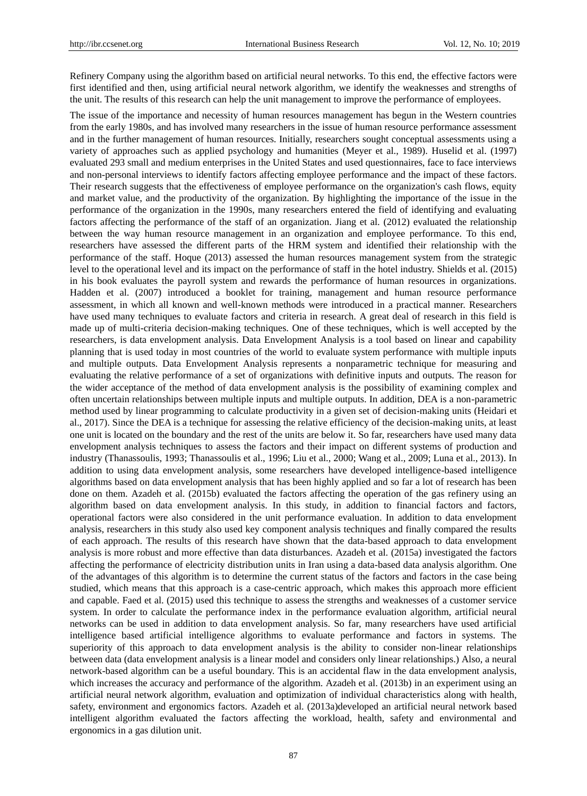Refinery Company using the algorithm based on artificial neural networks. To this end, the effective factors were first identified and then, using artificial neural network algorithm, we identify the weaknesses and strengths of the unit. The results of this research can help the unit management to improve the performance of employees.

The issue of the importance and necessity of human resources management has begun in the Western countries from the early 1980s, and has involved many researchers in the issue of human resource performance assessment and in the further management of human resources. Initially, researchers sought conceptual assessments using a variety of approaches such as applied psychology and humanities (Meyer et al., 1989). Huselid et al. (1997) evaluated 293 small and medium enterprises in the United States and used questionnaires, face to face interviews and non-personal interviews to identify factors affecting employee performance and the impact of these factors. Their research suggests that the effectiveness of employee performance on the organization's cash flows, equity and market value, and the productivity of the organization. By highlighting the importance of the issue in the performance of the organization in the 1990s, many researchers entered the field of identifying and evaluating factors affecting the performance of the staff of an organization. Jiang et al. (2012) evaluated the relationship between the way human resource management in an organization and employee performance. To this end, researchers have assessed the different parts of the HRM system and identified their relationship with the performance of the staff. Hoque (2013) assessed the human resources management system from the strategic level to the operational level and its impact on the performance of staff in the hotel industry. Shields et al. (2015) in his book evaluates the payroll system and rewards the performance of human resources in organizations. Hadden et al. (2007) introduced a booklet for training, management and human resource performance assessment, in which all known and well-known methods were introduced in a practical manner. Researchers have used many techniques to evaluate factors and criteria in research. A great deal of research in this field is made up of multi-criteria decision-making techniques. One of these techniques, which is well accepted by the researchers, is data envelopment analysis. Data Envelopment Analysis is a tool based on linear and capability planning that is used today in most countries of the world to evaluate system performance with multiple inputs and multiple outputs. Data Envelopment Analysis represents a nonparametric technique for measuring and evaluating the relative performance of a set of organizations with definitive inputs and outputs. The reason for the wider acceptance of the method of data envelopment analysis is the possibility of examining complex and often uncertain relationships between multiple inputs and multiple outputs. In addition, DEA is a non-parametric method used by linear programming to calculate productivity in a given set of decision-making units (Heidari et al., 2017). Since the DEA is a technique for assessing the relative efficiency of the decision-making units, at least one unit is located on the boundary and the rest of the units are below it. So far, researchers have used many data envelopment analysis techniques to assess the factors and their impact on different systems of production and industry (Thanassoulis, 1993; Thanassoulis et al., 1996; Liu et al., 2000; Wang et al., 2009; Luna et al., 2013). In addition to using data envelopment analysis, some researchers have developed intelligence-based intelligence algorithms based on data envelopment analysis that has been highly applied and so far a lot of research has been done on them. Azadeh et al. (2015b) evaluated the factors affecting the operation of the gas refinery using an algorithm based on data envelopment analysis. In this study, in addition to financial factors and factors, operational factors were also considered in the unit performance evaluation. In addition to data envelopment analysis, researchers in this study also used key component analysis techniques and finally compared the results of each approach. The results of this research have shown that the data-based approach to data envelopment analysis is more robust and more effective than data disturbances. Azadeh et al. (2015a) investigated the factors affecting the performance of electricity distribution units in Iran using a data-based data analysis algorithm. One of the advantages of this algorithm is to determine the current status of the factors and factors in the case being studied, which means that this approach is a case-centric approach, which makes this approach more efficient and capable. Faed et al. (2015) used this technique to assess the strengths and weaknesses of a customer service system. In order to calculate the performance index in the performance evaluation algorithm, artificial neural networks can be used in addition to data envelopment analysis. So far, many researchers have used artificial intelligence based artificial intelligence algorithms to evaluate performance and factors in systems. The superiority of this approach to data envelopment analysis is the ability to consider non-linear relationships between data (data envelopment analysis is a linear model and considers only linear relationships.) Also, a neural network-based algorithm can be a useful boundary. This is an accidental flaw in the data envelopment analysis, which increases the accuracy and performance of the algorithm. Azadeh et al. (2013b) in an experiment using an artificial neural network algorithm, evaluation and optimization of individual characteristics along with health, safety, environment and ergonomics factors. Azadeh et al. (2013a)developed an artificial neural network based intelligent algorithm evaluated the factors affecting the workload, health, safety and environmental and ergonomics in a gas dilution unit.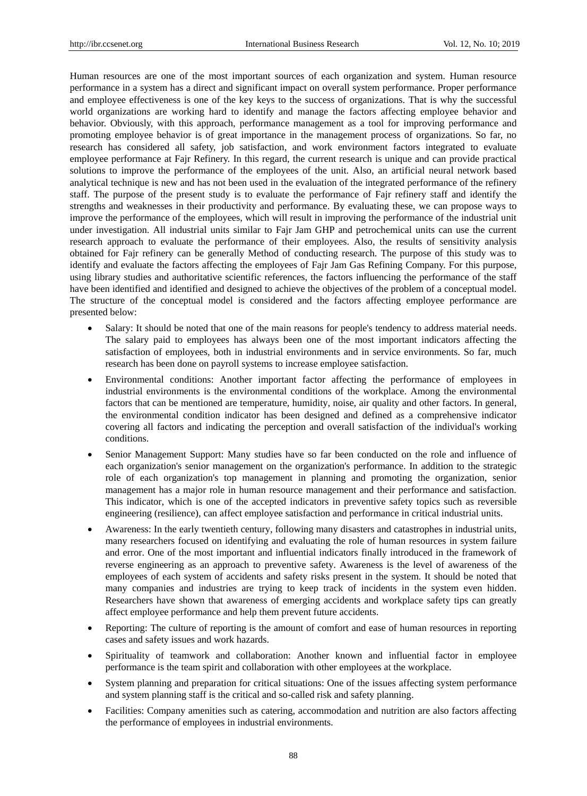Human resources are one of the most important sources of each organization and system. Human resource performance in a system has a direct and significant impact on overall system performance. Proper performance and employee effectiveness is one of the key keys to the success of organizations. That is why the successful world organizations are working hard to identify and manage the factors affecting employee behavior and behavior. Obviously, with this approach, performance management as a tool for improving performance and promoting employee behavior is of great importance in the management process of organizations. So far, no research has considered all safety, job satisfaction, and work environment factors integrated to evaluate employee performance at Fajr Refinery. In this regard, the current research is unique and can provide practical solutions to improve the performance of the employees of the unit. Also, an artificial neural network based analytical technique is new and has not been used in the evaluation of the integrated performance of the refinery staff. The purpose of the present study is to evaluate the performance of Fajr refinery staff and identify the strengths and weaknesses in their productivity and performance. By evaluating these, we can propose ways to improve the performance of the employees, which will result in improving the performance of the industrial unit under investigation. All industrial units similar to Fajr Jam GHP and petrochemical units can use the current research approach to evaluate the performance of their employees. Also, the results of sensitivity analysis obtained for Fajr refinery can be generally Method of conducting research. The purpose of this study was to identify and evaluate the factors affecting the employees of Fajr Jam Gas Refining Company. For this purpose, using library studies and authoritative scientific references, the factors influencing the performance of the staff have been identified and identified and designed to achieve the objectives of the problem of a conceptual model. The structure of the conceptual model is considered and the factors affecting employee performance are presented below:

- Salary: It should be noted that one of the main reasons for people's tendency to address material needs. The salary paid to employees has always been one of the most important indicators affecting the satisfaction of employees, both in industrial environments and in service environments. So far, much research has been done on payroll systems to increase employee satisfaction.
- Environmental conditions: Another important factor affecting the performance of employees in industrial environments is the environmental conditions of the workplace. Among the environmental factors that can be mentioned are temperature, humidity, noise, air quality and other factors. In general, the environmental condition indicator has been designed and defined as a comprehensive indicator covering all factors and indicating the perception and overall satisfaction of the individual's working conditions.
- Senior Management Support: Many studies have so far been conducted on the role and influence of each organization's senior management on the organization's performance. In addition to the strategic role of each organization's top management in planning and promoting the organization, senior management has a major role in human resource management and their performance and satisfaction. This indicator, which is one of the accepted indicators in preventive safety topics such as reversible engineering (resilience), can affect employee satisfaction and performance in critical industrial units.
- Awareness: In the early twentieth century, following many disasters and catastrophes in industrial units, many researchers focused on identifying and evaluating the role of human resources in system failure and error. One of the most important and influential indicators finally introduced in the framework of reverse engineering as an approach to preventive safety. Awareness is the level of awareness of the employees of each system of accidents and safety risks present in the system. It should be noted that many companies and industries are trying to keep track of incidents in the system even hidden. Researchers have shown that awareness of emerging accidents and workplace safety tips can greatly affect employee performance and help them prevent future accidents.
- Reporting: The culture of reporting is the amount of comfort and ease of human resources in reporting cases and safety issues and work hazards.
- Spirituality of teamwork and collaboration: Another known and influential factor in employee performance is the team spirit and collaboration with other employees at the workplace.
- System planning and preparation for critical situations: One of the issues affecting system performance and system planning staff is the critical and so-called risk and safety planning.
- Facilities: Company amenities such as catering, accommodation and nutrition are also factors affecting the performance of employees in industrial environments.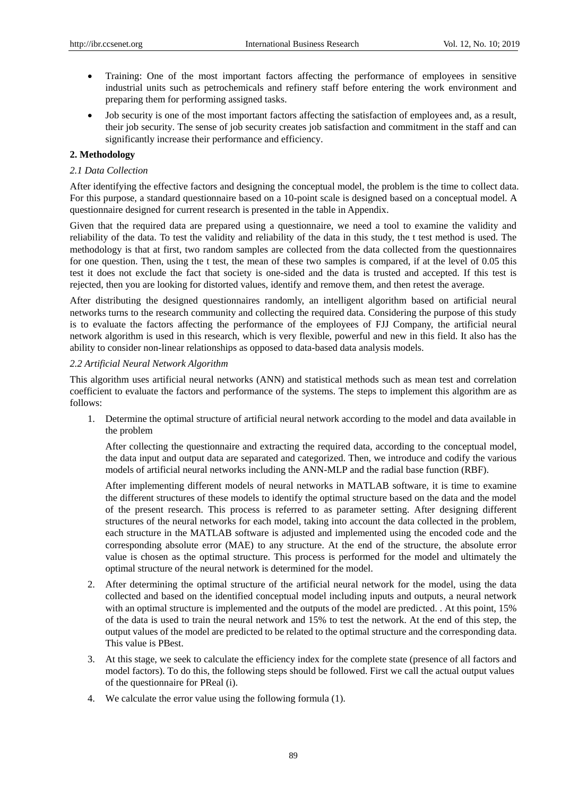- Training: One of the most important factors affecting the performance of employees in sensitive industrial units such as petrochemicals and refinery staff before entering the work environment and preparing them for performing assigned tasks.
- Job security is one of the most important factors affecting the satisfaction of employees and, as a result, their job security. The sense of job security creates job satisfaction and commitment in the staff and can significantly increase their performance and efficiency.

## **2. Methodology**

## *2.1 Data Collection*

After identifying the effective factors and designing the conceptual model, the problem is the time to collect data. For this purpose, a standard questionnaire based on a 10-point scale is designed based on a conceptual model. A questionnaire designed for current research is presented in the table in Appendix.

Given that the required data are prepared using a questionnaire, we need a tool to examine the validity and reliability of the data. To test the validity and reliability of the data in this study, the t test method is used. The methodology is that at first, two random samples are collected from the data collected from the questionnaires for one question. Then, using the t test, the mean of these two samples is compared, if at the level of 0.05 this test it does not exclude the fact that society is one-sided and the data is trusted and accepted. If this test is rejected, then you are looking for distorted values, identify and remove them, and then retest the average.

After distributing the designed questionnaires randomly, an intelligent algorithm based on artificial neural networks turns to the research community and collecting the required data. Considering the purpose of this study is to evaluate the factors affecting the performance of the employees of FJJ Company, the artificial neural network algorithm is used in this research, which is very flexible, powerful and new in this field. It also has the ability to consider non-linear relationships as opposed to data-based data analysis models.

## *2.2 Artificial Neural Network Algorithm*

This algorithm uses artificial neural networks (ANN) and statistical methods such as mean test and correlation coefficient to evaluate the factors and performance of the systems. The steps to implement this algorithm are as follows:

1. Determine the optimal structure of artificial neural network according to the model and data available in the problem

After collecting the questionnaire and extracting the required data, according to the conceptual model, the data input and output data are separated and categorized. Then, we introduce and codify the various models of artificial neural networks including the ANN-MLP and the radial base function (RBF).

After implementing different models of neural networks in MATLAB software, it is time to examine the different structures of these models to identify the optimal structure based on the data and the model of the present research. This process is referred to as parameter setting. After designing different structures of the neural networks for each model, taking into account the data collected in the problem, each structure in the MATLAB software is adjusted and implemented using the encoded code and the corresponding absolute error (MAE) to any structure. At the end of the structure, the absolute error value is chosen as the optimal structure. This process is performed for the model and ultimately the optimal structure of the neural network is determined for the model.

- 2. After determining the optimal structure of the artificial neural network for the model, using the data collected and based on the identified conceptual model including inputs and outputs, a neural network with an optimal structure is implemented and the outputs of the model are predicted. . At this point, 15% of the data is used to train the neural network and 15% to test the network. At the end of this step, the output values of the model are predicted to be related to the optimal structure and the corresponding data. This value is PBest.
- 3. At this stage, we seek to calculate the efficiency index for the complete state (presence of all factors and model factors). To do this, the following steps should be followed. First we call the actual output values of the questionnaire for PReal (i).
- 4. We calculate the error value using the following formula (1).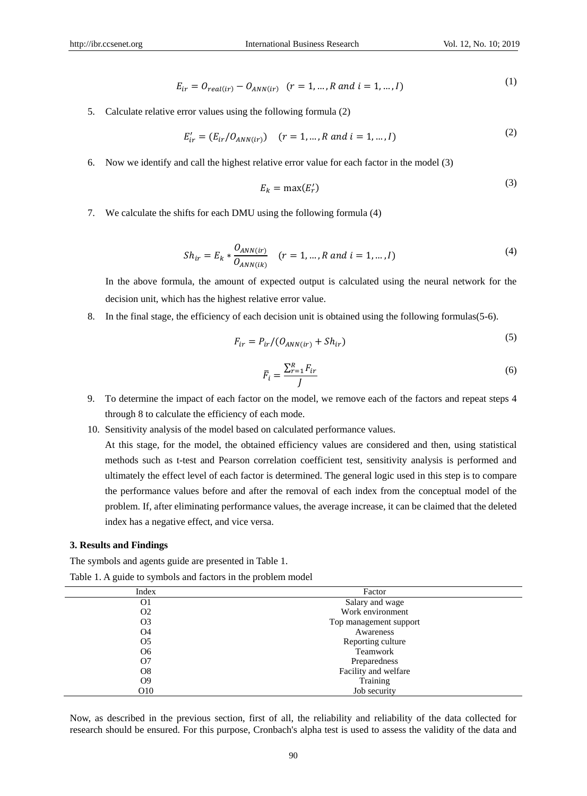$(2)$ 

$$
E_{ir} = O_{real(ir)} - O_{ANN(ir)} \quad (r = 1, ..., R \text{ and } i = 1, ..., I)
$$
 (1)

5. Calculate relative error values using the following formula (2)

$$
E'_{ir} = (E_{ir}/O_{ANN(ir)}) \quad (r = 1, ..., R \text{ and } i = 1, ..., I)
$$
 (2)

6. Now we identify and call the highest relative error value for each factor in the model (3)

$$
E_k = \max(E'_r) \tag{3}
$$

7. We calculate the shifts for each DMU using the following formula (4)

$$
Sh_{ir} = E_k * \frac{O_{ANN(ir)}}{O_{ANN(ik)}} \quad (r = 1, ..., R \text{ and } i = 1, ..., I)
$$
\n(4)

In the above formula, the amount of expected output is calculated using the neural network for the decision unit, which has the highest relative error value.

8. In the final stage, the efficiency of each decision unit is obtained using the following formulas(5-6).

$$
F_{ir} = P_{ir}/(O_{ANN(ir)} + Sh_{ir})
$$
\n<sup>(5)</sup>

$$
\bar{F}_i = \frac{\sum_{r=1}^{R} F_{ir}}{J} \tag{6}
$$

- 9. To determine the impact of each factor on the model, we remove each of the factors and repeat steps 4 through 8 to calculate the efficiency of each mode.
- 10. Sensitivity analysis of the model based on calculated performance values.

At this stage, for the model, the obtained efficiency values are considered and then, using statistical methods such as t-test and Pearson correlation coefficient test, sensitivity analysis is performed and ultimately the effect level of each factor is determined. The general logic used in this step is to compare the performance values before and after the removal of each index from the conceptual model of the problem. If, after eliminating performance values, the average increase, it can be claimed that the deleted index has a negative effect, and vice versa.

#### **3. Results and Findings**

The symbols and agents guide are presented in Table 1.

Table 1. A guide to symbols and factors in the problem model

| Index           | Factor                 |  |
|-----------------|------------------------|--|
| O <sub>1</sub>  | Salary and wage        |  |
| O <sub>2</sub>  | Work environment       |  |
| O <sub>3</sub>  | Top management support |  |
| O4              | Awareness              |  |
| O <sub>5</sub>  | Reporting culture      |  |
| O <sub>6</sub>  | Teamwork               |  |
| O7              | Preparedness           |  |
| O <sub>8</sub>  | Facility and welfare   |  |
| O <sub>9</sub>  | Training               |  |
| O <sub>10</sub> | Job security           |  |

Now, as described in the previous section, first of all, the reliability and reliability of the data collected for research should be ensured. For this purpose, Cronbach's alpha test is used to assess the validity of the data and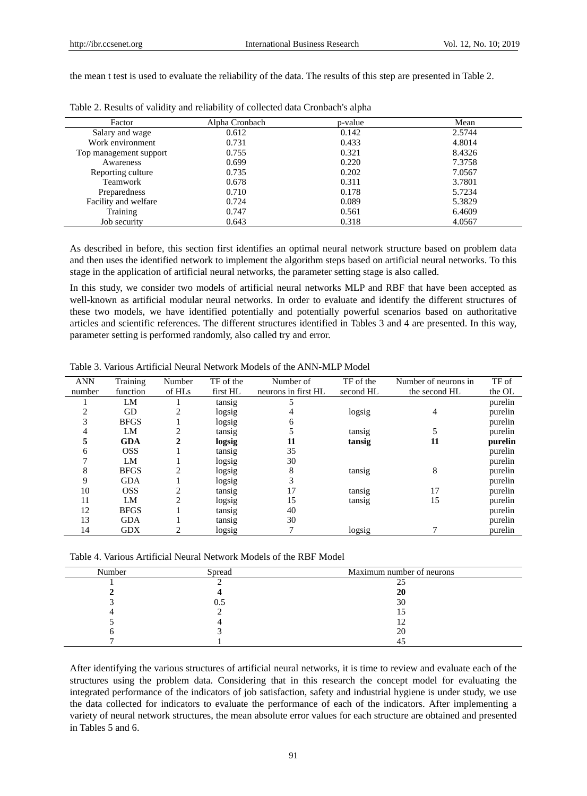the mean t test is used to evaluate the reliability of the data. The results of this step are presented in Table 2.

| Factor                 | Alpha Cronbach | p-value | Mean   |
|------------------------|----------------|---------|--------|
| Salary and wage        | 0.612          | 0.142   | 2.5744 |
| Work environment       | 0.731          | 0.433   | 4.8014 |
| Top management support | 0.755          | 0.321   | 8.4326 |
| Awareness              | 0.699          | 0.220   | 7.3758 |
| Reporting culture      | 0.735          | 0.202   | 7.0567 |
| Teamwork               | 0.678          | 0.311   | 3.7801 |
| Preparedness           | 0.710          | 0.178   | 5.7234 |
| Facility and welfare   | 0.724          | 0.089   | 5.3829 |
| Training               | 0.747          | 0.561   | 6.4609 |
| Job security           | 0.643          | 0.318   | 4.0567 |

As described in before, this section first identifies an optimal neural network structure based on problem data and then uses the identified network to implement the algorithm steps based on artificial neural networks. To this stage in the application of artificial neural networks, the parameter setting stage is also called.

In this study, we consider two models of artificial neural networks MLP and RBF that have been accepted as well-known as artificial modular neural networks. In order to evaluate and identify the different structures of these two models, we have identified potentially and potentially powerful scenarios based on authoritative articles and scientific references. The different structures identified in Tables 3 and 4 are presented. In this way, parameter setting is performed randomly, also called try and error.

| <b>ANN</b> | Training    | Number         | TF of the | Number of           | TF of the | Number of neurons in | TF of   |
|------------|-------------|----------------|-----------|---------------------|-----------|----------------------|---------|
| number     | function    | of HLs         | first HL  | neurons in first HL | second HL | the second HL        | the OL  |
|            | LM          |                | tansig    |                     |           |                      | purelin |
|            | GD          | $\overline{c}$ | logsig    |                     | logsig    | 4                    | purelin |
|            | <b>BFGS</b> |                | logsig    | h                   |           |                      | purelin |
|            | LM          | 2              | tansig    |                     | tansig    |                      | purelin |
| 5          | <b>GDA</b>  |                | logsig    | 11                  | tansig    | 11                   | purelin |
| 6          | <b>OSS</b>  |                | tansig    | 35                  |           |                      | purelin |
|            | LM          |                | logsig    | 30                  |           |                      | purelin |
| 8          | <b>BFGS</b> | 2              | logsig    | 8                   | tansig    | 8                    | purelin |
| 9          | <b>GDA</b>  |                | logsig    |                     |           |                      | purelin |
| 10         | <b>OSS</b>  | 2              | tansig    | 17                  | tansig    | 17                   | purelin |
| 11         | LM          | $\overline{c}$ | logsig    | 15                  | tansig    | 15                   | purelin |
| 12         | <b>BFGS</b> |                | tansig    | 40                  |           |                      | purelin |
| 13         | <b>GDA</b>  |                | tansig    | 30                  |           |                      | purelin |
| 14         | <b>GDX</b>  |                | logsig    |                     | logsig    |                      | purelin |

Table 3. Various Artificial Neural Network Models of the ANN-MLP Model

Table 4. Various Artificial Neural Network Models of the RBF Model

| Number | Spread | Maximum number of neurons |
|--------|--------|---------------------------|
|        |        |                           |
|        |        | 20                        |
|        | v.,    | 30                        |
|        |        |                           |
|        |        |                           |
|        |        | 20                        |
|        |        |                           |

After identifying the various structures of artificial neural networks, it is time to review and evaluate each of the structures using the problem data. Considering that in this research the concept model for evaluating the integrated performance of the indicators of job satisfaction, safety and industrial hygiene is under study, we use the data collected for indicators to evaluate the performance of each of the indicators. After implementing a variety of neural network structures, the mean absolute error values for each structure are obtained and presented in Tables 5 and 6.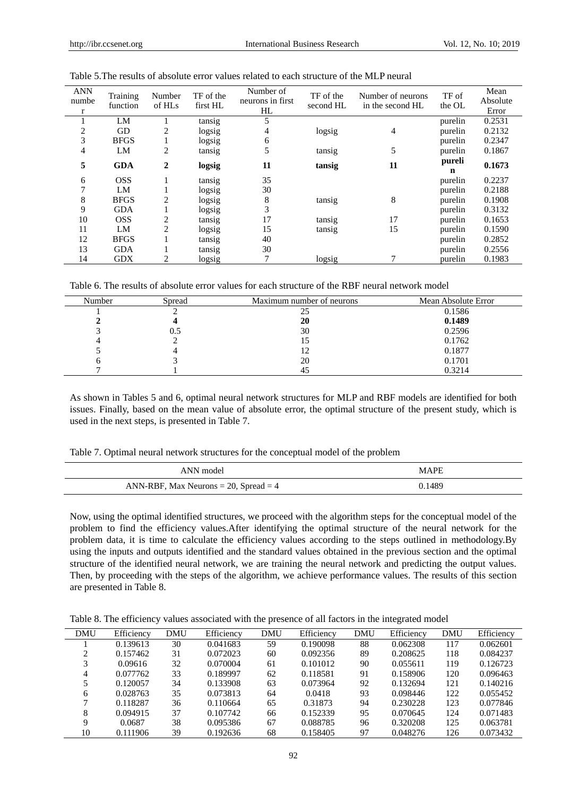| <b>ANN</b><br>numbe<br>r | Training<br>function | Number<br>of HLs | TF of the<br>first HL | Number of<br>neurons in first<br>HL | TF of the<br>second HL | Number of neurons<br>in the second HL | TF of<br>the OL | Mean<br>Absolute<br>Error |
|--------------------------|----------------------|------------------|-----------------------|-------------------------------------|------------------------|---------------------------------------|-----------------|---------------------------|
|                          | LM                   |                  | tansig                | 5                                   |                        |                                       | purelin         | 0.2531                    |
| 2                        | GD                   | 2                | logsig                | 4                                   | logsig                 | $\overline{4}$                        | purelin         | 0.2132                    |
| 3                        | <b>BFGS</b>          |                  | logsig                | 6                                   |                        |                                       | purelin         | 0.2347                    |
| 4                        | LM                   | 2                | tansig                | 5                                   | tansig                 | 5                                     | purelin         | 0.1867                    |
| 5                        | <b>GDA</b>           | 2                | logsig                | 11                                  | tansig                 | 11                                    | pureli<br>n     | 0.1673                    |
| 6                        | <b>OSS</b>           |                  | tansig                | 35                                  |                        |                                       | purelin         | 0.2237                    |
|                          | LM                   |                  | logsig                | 30                                  |                        |                                       | purelin         | 0.2188                    |
| 8                        | <b>BFGS</b>          | 2                | logsig                | 8                                   | tansig                 | 8                                     | purelin         | 0.1908                    |
| 9                        | <b>GDA</b>           |                  | logsig                | 3                                   |                        |                                       | purelin         | 0.3132                    |
| 10                       | <b>OSS</b>           | 2                | tansig                | 17                                  | tansig                 | 17                                    | purelin         | 0.1653                    |
| 11                       | LM                   | $\overline{c}$   | logsig                | 15                                  | tansig                 | 15                                    | purelin         | 0.1590                    |
| 12                       | <b>BFGS</b>          |                  | tansig                | 40                                  |                        |                                       | purelin         | 0.2852                    |
| 13                       | <b>GDA</b>           |                  | tansig                | 30                                  |                        |                                       | purelin         | 0.2556                    |
| 14                       | <b>GDX</b>           | 2                | logsig                |                                     | logsig                 |                                       | purelin         | 0.1983                    |

Table 5.The results of absolute error values related to each structure of the MLP neural

Table 6. The results of absolute error values for each structure of the RBF neural network model

| Number | Spread | Maximum number of neurons | Mean Absolute Error |
|--------|--------|---------------------------|---------------------|
|        |        | نت                        | 0.1586              |
|        |        | 20                        | 0.1489              |
|        | U.S    | 30                        | 0.2596              |
|        |        |                           | 0.1762              |
|        |        |                           | 0.1877              |
|        |        | 20                        | 0.1701              |
|        |        | 45                        | 0.3214              |

As shown in Tables 5 and 6, optimal neural network structures for MLP and RBF models are identified for both issues. Finally, based on the mean value of absolute error, the optimal structure of the present study, which is used in the next steps, is presented in Table 7.

Table 7. Optimal neural network structures for the conceptual model of the problem

| ANN model                                  | <b>MAPF</b> |
|--------------------------------------------|-------------|
| ANN-RBF, Max Neurons $= 20$ , Spread $= 4$ | 0.1489      |

Now, using the optimal identified structures, we proceed with the algorithm steps for the conceptual model of the problem to find the efficiency values.After identifying the optimal structure of the neural network for the problem data, it is time to calculate the efficiency values according to the steps outlined in methodology.By using the inputs and outputs identified and the standard values obtained in the previous section and the optimal structure of the identified neural network, we are training the neural network and predicting the output values. Then, by proceeding with the steps of the algorithm, we achieve performance values. The results of this section are presented in Table 8.

Table 8. The efficiency values associated with the presence of all factors in the integrated model

| <b>DMU</b> | Efficiency | DMU | Efficiency | <b>DMU</b> | Efficiency | <b>DMU</b> | Efficiency | <b>DMU</b> | Efficiency |
|------------|------------|-----|------------|------------|------------|------------|------------|------------|------------|
|            | 0.139613   | 30  | 0.041683   | 59         | 0.190098   | 88         | 0.062308   | 117        | 0.062601   |
|            | 0.157462   | 31  | 0.072023   | 60         | 0.092356   | 89         | 0.208625   | 118        | 0.084237   |
| 3          | 0.09616    | 32  | 0.070004   | 61         | 0.101012   | 90         | 0.055611   | 119        | 0.126723   |
| 4          | 0.077762   | 33  | 0.189997   | 62         | 0.118581   | 91         | 0.158906   | 120        | 0.096463   |
|            | 0.120057   | 34  | 0.133908   | 63         | 0.073964   | 92         | 0.132694   | 121        | 0.140216   |
| 6          | 0.028763   | 35  | 0.073813   | 64         | 0.0418     | 93         | 0.098446   | 122        | 0.055452   |
|            | 0.118287   | 36  | 0.110664   | 65         | 0.31873    | 94         | 0.230228   | 123        | 0.077846   |
| 8          | 0.094915   | 37  | 0.107742   | 66         | 0.152339   | 95         | 0.070645   | 124        | 0.071483   |
| Q          | 0.0687     | 38  | 0.095386   | 67         | 0.088785   | 96         | 0.320208   | 125        | 0.063781   |
| 10         | 0.111906   | 39  | 0.192636   | 68         | 0.158405   | 97         | 0.048276   | 126        | 0.073432   |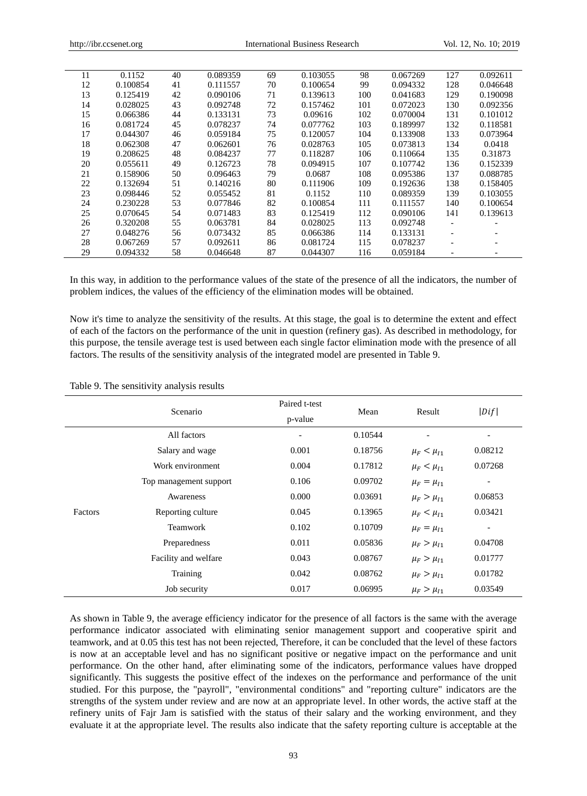| 11 | 0.1152   | 40 | 0.089359 | 69 | 0.103055 | 98  | 0.067269 | 127 | 0.092611 |
|----|----------|----|----------|----|----------|-----|----------|-----|----------|
| 12 | 0.100854 | 41 | 0.111557 | 70 | 0.100654 | 99  | 0.094332 | 128 | 0.046648 |
| 13 | 0.125419 | 42 | 0.090106 | 71 | 0.139613 | 100 | 0.041683 | 129 | 0.190098 |
| 14 | 0.028025 | 43 | 0.092748 | 72 | 0.157462 | 101 | 0.072023 | 130 | 0.092356 |
| 15 | 0.066386 | 44 | 0.133131 | 73 | 0.09616  | 102 | 0.070004 | 131 | 0.101012 |
| 16 | 0.081724 | 45 | 0.078237 | 74 | 0.077762 | 103 | 0.189997 | 132 | 0.118581 |
| 17 | 0.044307 | 46 | 0.059184 | 75 | 0.120057 | 104 | 0.133908 | 133 | 0.073964 |
| 18 | 0.062308 | 47 | 0.062601 | 76 | 0.028763 | 105 | 0.073813 | 134 | 0.0418   |
| 19 | 0.208625 | 48 | 0.084237 | 77 | 0.118287 | 106 | 0.110664 | 135 | 0.31873  |
| 20 | 0.055611 | 49 | 0.126723 | 78 | 0.094915 | 107 | 0.107742 | 136 | 0.152339 |
| 21 | 0.158906 | 50 | 0.096463 | 79 | 0.0687   | 108 | 0.095386 | 137 | 0.088785 |
| 22 | 0.132694 | 51 | 0.140216 | 80 | 0.111906 | 109 | 0.192636 | 138 | 0.158405 |
| 23 | 0.098446 | 52 | 0.055452 | 81 | 0.1152   | 110 | 0.089359 | 139 | 0.103055 |
| 24 | 0.230228 | 53 | 0.077846 | 82 | 0.100854 | 111 | 0.111557 | 140 | 0.100654 |
| 25 | 0.070645 | 54 | 0.071483 | 83 | 0.125419 | 112 | 0.090106 | 141 | 0.139613 |
| 26 | 0.320208 | 55 | 0.063781 | 84 | 0.028025 | 113 | 0.092748 |     |          |
| 27 | 0.048276 | 56 | 0.073432 | 85 | 0.066386 | 114 | 0.133131 |     |          |
| 28 | 0.067269 | 57 | 0.092611 | 86 | 0.081724 | 115 | 0.078237 |     |          |
| 29 | 0.094332 | 58 | 0.046648 | 87 | 0.044307 | 116 | 0.059184 |     |          |

In this way, in addition to the performance values of the state of the presence of all the indicators, the number of problem indices, the values of the efficiency of the elimination modes will be obtained.

Now it's time to analyze the sensitivity of the results. At this stage, the goal is to determine the extent and effect of each of the factors on the performance of the unit in question (refinery gas). As described in methodology, for this purpose, the tensile average test is used between each single factor elimination mode with the presence of all factors. The results of the sensitivity analysis of the integrated model are presented in Table 9.

Table 9. The sensitivity analysis results

|         | Scenario               | Paired t-test            |         | Result             |                          |
|---------|------------------------|--------------------------|---------|--------------------|--------------------------|
|         |                        | p-value                  | Mean    |                    | Diff                     |
|         | All factors            | $\overline{\phantom{a}}$ | 0.10544 |                    | $\overline{\phantom{0}}$ |
|         | Salary and wage        | 0.001                    | 0.18756 | $\mu_F < \mu_{I1}$ | 0.08212                  |
| Factors | Work environment       | 0.004                    | 0.17812 | $\mu_F < \mu_{I1}$ | 0.07268                  |
|         | Top management support | 0.106                    | 0.09702 | $\mu_F = \mu_{I1}$ | $\overline{\phantom{a}}$ |
|         | Awareness              | 0.000                    | 0.03691 | $\mu_F > \mu_{I1}$ | 0.06853                  |
|         | Reporting culture      | 0.045                    | 0.13965 | $\mu_F < \mu_{I1}$ | 0.03421                  |
|         | Teamwork               | 0.102                    | 0.10709 | $\mu_F = \mu_{I1}$ | $\overline{\phantom{a}}$ |
|         | Preparedness           | 0.011                    | 0.05836 | $\mu_F > \mu_{I1}$ | 0.04708                  |
|         | Facility and welfare   | 0.043                    | 0.08767 | $\mu_F > \mu_{I1}$ | 0.01777                  |
|         | Training               | 0.042                    | 0.08762 | $\mu_F > \mu_{I1}$ | 0.01782                  |
|         | Job security           | 0.017                    | 0.06995 | $\mu_F > \mu_{I1}$ | 0.03549                  |

As shown in Table 9, the average efficiency indicator for the presence of all factors is the same with the average performance indicator associated with eliminating senior management support and cooperative spirit and teamwork, and at 0.05 this test has not been rejected, Therefore, it can be concluded that the level of these factors is now at an acceptable level and has no significant positive or negative impact on the performance and unit performance. On the other hand, after eliminating some of the indicators, performance values have dropped significantly. This suggests the positive effect of the indexes on the performance and performance of the unit studied. For this purpose, the "payroll", "environmental conditions" and "reporting culture" indicators are the strengths of the system under review and are now at an appropriate level. In other words, the active staff at the refinery units of Fajr Jam is satisfied with the status of their salary and the working environment, and they evaluate it at the appropriate level. The results also indicate that the safety reporting culture is acceptable at the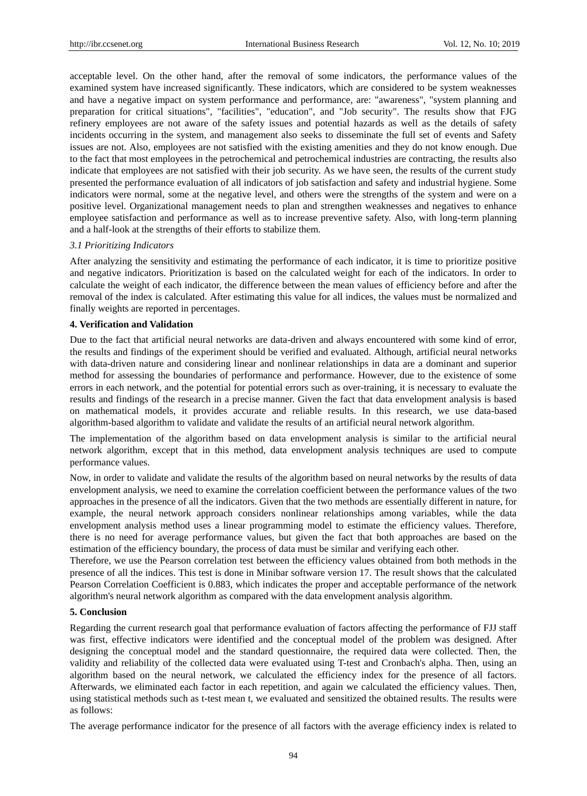acceptable level. On the other hand, after the removal of some indicators, the performance values of the examined system have increased significantly. These indicators, which are considered to be system weaknesses and have a negative impact on system performance and performance, are: "awareness", "system planning and preparation for critical situations", "facilities", "education", and "Job security". The results show that FJG refinery employees are not aware of the safety issues and potential hazards as well as the details of safety incidents occurring in the system, and management also seeks to disseminate the full set of events and Safety issues are not. Also, employees are not satisfied with the existing amenities and they do not know enough. Due to the fact that most employees in the petrochemical and petrochemical industries are contracting, the results also indicate that employees are not satisfied with their job security. As we have seen, the results of the current study presented the performance evaluation of all indicators of job satisfaction and safety and industrial hygiene. Some indicators were normal, some at the negative level, and others were the strengths of the system and were on a positive level. Organizational management needs to plan and strengthen weaknesses and negatives to enhance employee satisfaction and performance as well as to increase preventive safety. Also, with long-term planning and a half-look at the strengths of their efforts to stabilize them.

#### *3.1 Prioritizing Indicators*

After analyzing the sensitivity and estimating the performance of each indicator, it is time to prioritize positive and negative indicators. Prioritization is based on the calculated weight for each of the indicators. In order to calculate the weight of each indicator, the difference between the mean values of efficiency before and after the removal of the index is calculated. After estimating this value for all indices, the values must be normalized and finally weights are reported in percentages.

## **4. Verification and Validation**

Due to the fact that artificial neural networks are data-driven and always encountered with some kind of error, the results and findings of the experiment should be verified and evaluated. Although, artificial neural networks with data-driven nature and considering linear and nonlinear relationships in data are a dominant and superior method for assessing the boundaries of performance and performance. However, due to the existence of some errors in each network, and the potential for potential errors such as over-training, it is necessary to evaluate the results and findings of the research in a precise manner. Given the fact that data envelopment analysis is based on mathematical models, it provides accurate and reliable results. In this research, we use data-based algorithm-based algorithm to validate and validate the results of an artificial neural network algorithm.

The implementation of the algorithm based on data envelopment analysis is similar to the artificial neural network algorithm, except that in this method, data envelopment analysis techniques are used to compute performance values.

Now, in order to validate and validate the results of the algorithm based on neural networks by the results of data envelopment analysis, we need to examine the correlation coefficient between the performance values of the two approaches in the presence of all the indicators. Given that the two methods are essentially different in nature, for example, the neural network approach considers nonlinear relationships among variables, while the data envelopment analysis method uses a linear programming model to estimate the efficiency values. Therefore, there is no need for average performance values, but given the fact that both approaches are based on the estimation of the efficiency boundary, the process of data must be similar and verifying each other.

Therefore, we use the Pearson correlation test between the efficiency values obtained from both methods in the presence of all the indices. This test is done in Minibar software version 17. The result shows that the calculated Pearson Correlation Coefficient is 0.883, which indicates the proper and acceptable performance of the network algorithm's neural network algorithm as compared with the data envelopment analysis algorithm.

### **5. Conclusion**

Regarding the current research goal that performance evaluation of factors affecting the performance of FJJ staff was first, effective indicators were identified and the conceptual model of the problem was designed. After designing the conceptual model and the standard questionnaire, the required data were collected. Then, the validity and reliability of the collected data were evaluated using T-test and Cronbach's alpha. Then, using an algorithm based on the neural network, we calculated the efficiency index for the presence of all factors. Afterwards, we eliminated each factor in each repetition, and again we calculated the efficiency values. Then, using statistical methods such as t-test mean t, we evaluated and sensitized the obtained results. The results were as follows:

The average performance indicator for the presence of all factors with the average efficiency index is related to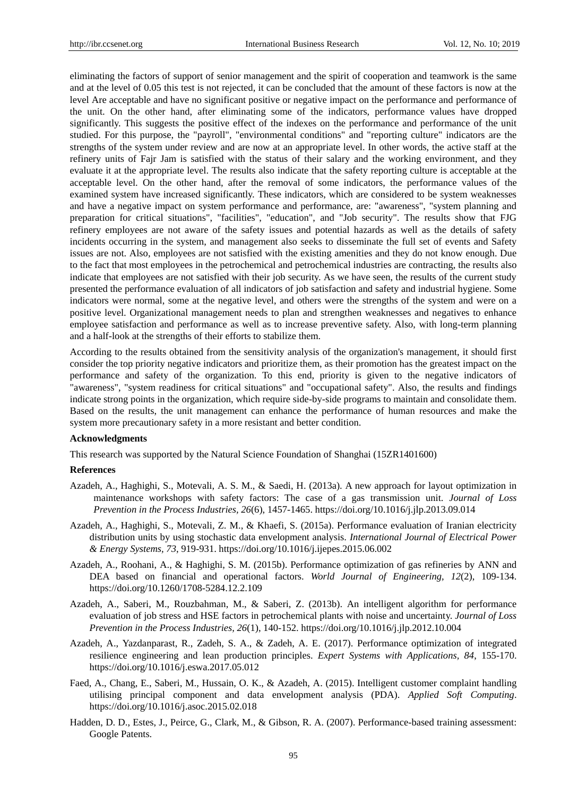eliminating the factors of support of senior management and the spirit of cooperation and teamwork is the same and at the level of 0.05 this test is not rejected, it can be concluded that the amount of these factors is now at the level Are acceptable and have no significant positive or negative impact on the performance and performance of the unit. On the other hand, after eliminating some of the indicators, performance values have dropped significantly. This suggests the positive effect of the indexes on the performance and performance of the unit studied. For this purpose, the "payroll", "environmental conditions" and "reporting culture" indicators are the strengths of the system under review and are now at an appropriate level. In other words, the active staff at the refinery units of Fajr Jam is satisfied with the status of their salary and the working environment, and they evaluate it at the appropriate level. The results also indicate that the safety reporting culture is acceptable at the acceptable level. On the other hand, after the removal of some indicators, the performance values of the examined system have increased significantly. These indicators, which are considered to be system weaknesses and have a negative impact on system performance and performance, are: "awareness", "system planning and preparation for critical situations", "facilities", "education", and "Job security". The results show that FJG refinery employees are not aware of the safety issues and potential hazards as well as the details of safety incidents occurring in the system, and management also seeks to disseminate the full set of events and Safety issues are not. Also, employees are not satisfied with the existing amenities and they do not know enough. Due to the fact that most employees in the petrochemical and petrochemical industries are contracting, the results also indicate that employees are not satisfied with their job security. As we have seen, the results of the current study presented the performance evaluation of all indicators of job satisfaction and safety and industrial hygiene. Some indicators were normal, some at the negative level, and others were the strengths of the system and were on a positive level. Organizational management needs to plan and strengthen weaknesses and negatives to enhance employee satisfaction and performance as well as to increase preventive safety. Also, with long-term planning and a half-look at the strengths of their efforts to stabilize them.

According to the results obtained from the sensitivity analysis of the organization's management, it should first consider the top priority negative indicators and prioritize them, as their promotion has the greatest impact on the performance and safety of the organization. To this end, priority is given to the negative indicators of "awareness", "system readiness for critical situations" and "occupational safety". Also, the results and findings indicate strong points in the organization, which require side-by-side programs to maintain and consolidate them. Based on the results, the unit management can enhance the performance of human resources and make the system more precautionary safety in a more resistant and better condition.

#### **Acknowledgments**

This research was supported by the Natural Science Foundation of Shanghai (15ZR1401600)

#### **References**

- Azadeh, A., Haghighi, S., Motevali, A. S. M., & Saedi, H. (2013a). A new approach for layout optimization in maintenance workshops with safety factors: The case of a gas transmission unit. *Journal of Loss Prevention in the Process Industries, 26*(6), 1457-1465. https://doi.org/10.1016/j.jlp.2013.09.014
- Azadeh, A., Haghighi, S., Motevali, Z. M., & Khaefi, S. (2015a). Performance evaluation of Iranian electricity distribution units by using stochastic data envelopment analysis. *International Journal of Electrical Power & Energy Systems, 73*, 919-931. https://doi.org/10.1016/j.ijepes.2015.06.002
- Azadeh, A., Roohani, A., & Haghighi, S. M. (2015b). Performance optimization of gas refineries by ANN and DEA based on financial and operational factors. *World Journal of Engineering, 12*(2), 109-134. https://doi.org/10.1260/1708-5284.12.2.109
- Azadeh, A., Saberi, M., Rouzbahman, M., & Saberi, Z. (2013b). An intelligent algorithm for performance evaluation of job stress and HSE factors in petrochemical plants with noise and uncertainty. *Journal of Loss Prevention in the Process Industries, 26*(1), 140-152. https://doi.org/10.1016/j.jlp.2012.10.004
- Azadeh, A., Yazdanparast, R., Zadeh, S. A., & Zadeh, A. E. (2017). Performance optimization of integrated resilience engineering and lean production principles. *Expert Systems with Applications, 84*, 155-170. https://doi.org/10.1016/j.eswa.2017.05.012
- Faed, A., Chang, E., Saberi, M., Hussain, O. K., & Azadeh, A. (2015). Intelligent customer complaint handling utilising principal component and data envelopment analysis (PDA). *Applied Soft Computing*. https://doi.org/10.1016/j.asoc.2015.02.018
- Hadden, D. D., Estes, J., Peirce, G., Clark, M., & Gibson, R. A. (2007). Performance-based training assessment: Google Patents.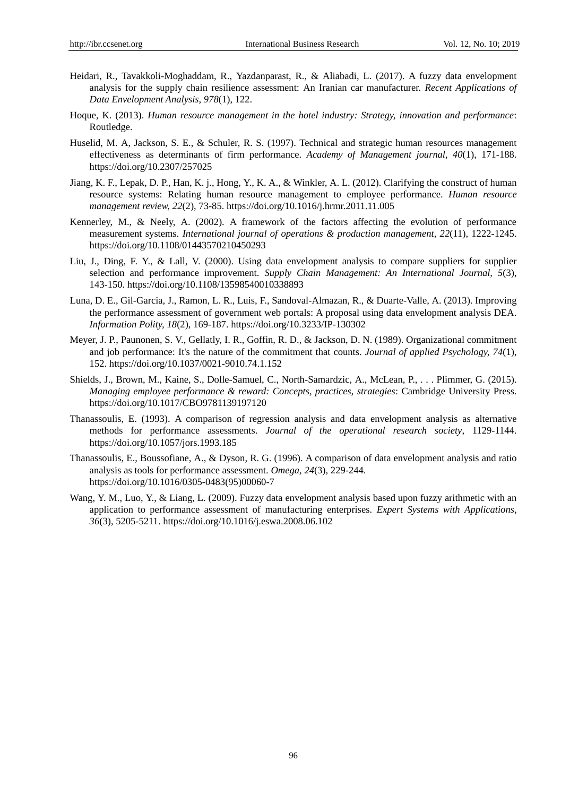- Heidari, R., Tavakkoli-Moghaddam, R., Yazdanparast, R., & Aliabadi, L. (2017). A fuzzy data envelopment analysis for the supply chain resilience assessment: An Iranian car manufacturer. *Recent Applications of Data Envelopment Analysis, 978*(1), 122.
- Hoque, K. (2013). *Human resource management in the hotel industry: Strategy, innovation and performance*: Routledge.
- Huselid, M. A, Jackson, S. E., & Schuler, R. S. (1997). Technical and strategic human resources management effectiveness as determinants of firm performance. *Academy of Management journal, 40*(1), 171-188. https://doi.org/10.2307/257025
- Jiang, K. F., Lepak, D. P., Han, K. j., Hong, Y., K. A., & Winkler, A. L. (2012). Clarifying the construct of human resource systems: Relating human resource management to employee performance. *Human resource management review, 22*(2), 73-85. https://doi.org/10.1016/j.hrmr.2011.11.005
- Kennerley, M., & Neely, A. (2002). A framework of the factors affecting the evolution of performance measurement systems. *International journal of operations & production management, 22*(11), 1222-1245. https://doi.org/10.1108/01443570210450293
- Liu, J., Ding, F. Y., & Lall, V. (2000). Using data envelopment analysis to compare suppliers for supplier selection and performance improvement. *Supply Chain Management: An International Journal, 5*(3), 143-150. https://doi.org/10.1108/13598540010338893
- Luna, D. E., Gil-Garcia, J., Ramon, L. R., Luis, F., Sandoval-Almazan, R., & Duarte-Valle, A. (2013). Improving the performance assessment of government web portals: A proposal using data envelopment analysis DEA. *Information Polity, 18*(2), 169-187. https://doi.org/10.3233/IP-130302
- Meyer, J. P., Paunonen, S. V., Gellatly, I. R., Goffin, R. D., & Jackson, D. N. (1989). Organizational commitment and job performance: It's the nature of the commitment that counts. *Journal of applied Psychology, 74*(1), 152. https://doi.org/10.1037/0021-9010.74.1.152
- Shields, J., Brown, M., Kaine, S., Dolle-Samuel, C., North-Samardzic, A., McLean, P., . . . Plimmer, G. (2015). *Managing employee performance & reward: Concepts, practices, strategies*: Cambridge University Press. https://doi.org/10.1017/CBO9781139197120
- Thanassoulis, E. (1993). A comparison of regression analysis and data envelopment analysis as alternative methods for performance assessments. *Journal of the operational research society*, 1129-1144. https://doi.org/10.1057/jors.1993.185
- Thanassoulis, E., Boussofiane, A., & Dyson, R. G. (1996). A comparison of data envelopment analysis and ratio analysis as tools for performance assessment. *Omega, 24*(3), 229-244. https://doi.org/10.1016/0305-0483(95)00060-7
- Wang, Y. M., Luo, Y., & Liang, L. (2009). Fuzzy data envelopment analysis based upon fuzzy arithmetic with an application to performance assessment of manufacturing enterprises. *Expert Systems with Applications, 36*(3), 5205-5211. https://doi.org/10.1016/j.eswa.2008.06.102